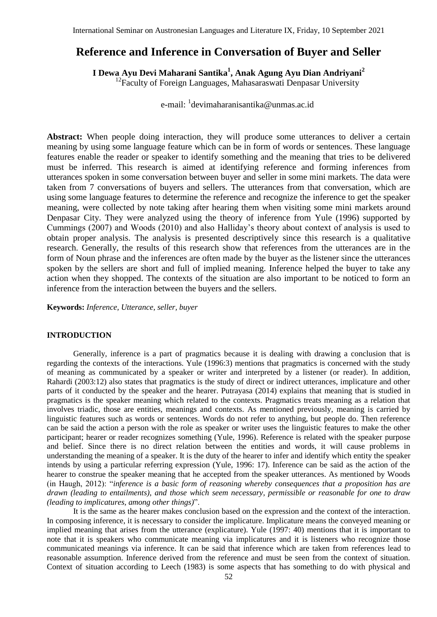# **Reference and Inference in Conversation of Buyer and Seller**

**I Dewa Ayu Devi Maharani Santika<sup>1</sup> , Anak Agung Ayu Dian Andriyani<sup>2</sup>**

 $12$ Faculty of Foreign Languages, Mahasaraswati Denpasar University

e-mail: <sup>1</sup>devimaharanisantika@unmas.ac.id

Abstract: When people doing interaction, they will produce some utterances to deliver a certain meaning by using some language feature which can be in form of words or sentences. These language features enable the reader or speaker to identify something and the meaning that tries to be delivered must be inferred. This research is aimed at identifying reference and forming inferences from utterances spoken in some conversation between buyer and seller in some mini markets. The data were taken from 7 conversations of buyers and sellers. The utterances from that conversation, which are using some language features to determine the reference and recognize the inference to get the speaker meaning, were collected by note taking after hearing them when visiting some mini markets around Denpasar City. They were analyzed using the theory of inference from Yule (1996) supported by Cummings (2007) and Woods (2010) and also Halliday's theory about context of analysis is used to obtain proper analysis. The analysis is presented descriptively since this research is a qualitative research. Generally, the results of this research show that references from the utterances are in the form of Noun phrase and the inferences are often made by the buyer as the listener since the utterances spoken by the sellers are short and full of implied meaning. Inference helped the buyer to take any action when they shopped. The contexts of the situation are also important to be noticed to form an inference from the interaction between the buyers and the sellers.

**Keywords:** *Inference, Utterance, seller, buyer* 

# **INTRODUCTION**

Generally, inference is a part of pragmatics because it is dealing with drawing a conclusion that is regarding the contexts of the interactions. Yule (1996:3) mentions that pragmatics is concerned with the study of meaning as communicated by a speaker or writer and interpreted by a listener (or reader). In addition, Rahardi (2003:12) also states that pragmatics is the study of direct or indirect utterances, implicature and other parts of it conducted by the speaker and the hearer. Putrayasa (2014) explains that meaning that is studied in pragmatics is the speaker meaning which related to the contexts. Pragmatics treats meaning as a relation that involves triadic, those are entities, meanings and contexts. As mentioned previously, meaning is carried by linguistic features such as words or sentences. Words do not refer to anything, but people do. Then reference can be said the action a person with the role as speaker or writer uses the linguistic features to make the other participant; hearer or reader recognizes something (Yule, 1996). Reference is related with the speaker purpose and belief. Since there is no direct relation between the entities and words, it will cause problems in understanding the meaning of a speaker. It is the duty of the hearer to infer and identify which entity the speaker intends by using a particular referring expression (Yule, 1996: 17). Inference can be said as the action of the hearer to construe the speaker meaning that he accepted from the speaker utterances. As mentioned by Woods (in Haugh, 2012): "*inference is a basic form of reasoning whereby consequences that a proposition has are drawn (leading to entailments), and those which seem necessary, permissible or reasonable for one to draw (leading to implicatures, among other things)*".

It is the same as the hearer makes conclusion based on the expression and the context of the interaction. In composing inference, it is necessary to consider the implicature. Implicature means the conveyed meaning or implied meaning that arises from the utterance (explicature). Yule (1997: 40) mentions that it is important to note that it is speakers who communicate meaning via implicatures and it is listeners who recognize those communicated meanings via inference. It can be said that inference which are taken from references lead to reasonable assumption. Inference derived from the reference and must be seen from the context of situation. Context of situation according to Leech (1983) is some aspects that has something to do with physical and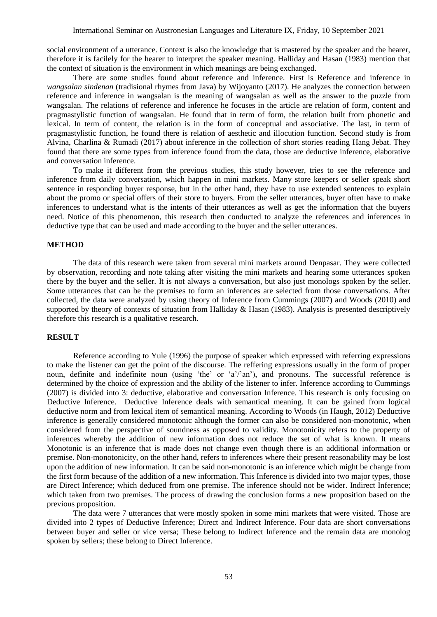social environment of a utterance. Context is also the knowledge that is mastered by the speaker and the hearer, therefore it is facilely for the hearer to interpret the speaker meaning. Halliday and Hasan (1983) mention that the context of situation is the environment in which meanings are being exchanged.

There are some studies found about reference and inference. First is Reference and inference in *wangsalan sindenan* (tradisional rhymes from Java) by Wijoyanto (2017). He analyzes the connection between reference and inference in wangsalan is the meaning of wangsalan as well as the answer to the puzzle from wangsalan. The relations of reference and inference he focuses in the article are relation of form, content and pragmastylistic function of wangsalan. He found that in term of form, the relation built from phonetic and lexical. In term of content, the relation is in the form of conceptual and associative. The last, in term of pragmastylistic function, he found there is relation of aesthetic and illocution function. Second study is from Alvina, Charlina & Rumadi (2017) about inference in the collection of short stories reading Hang Jebat. They found that there are some types from inference found from the data, those are deductive inference, elaborative and conversation inference.

To make it different from the previous studies, this study however, tries to see the reference and inference from daily conversation, which happen in mini markets. Many store keepers or seller speak short sentence in responding buyer response, but in the other hand, they have to use extended sentences to explain about the promo or special offers of their store to buyers. From the seller utterances, buyer often have to make inferences to understand what is the intents of their utterances as well as get the information that the buyers need. Notice of this phenomenon, this research then conducted to analyze the references and inferences in deductive type that can be used and made according to the buyer and the seller utterances.

#### **METHOD**

The data of this research were taken from several mini markets around Denpasar. They were collected by observation, recording and note taking after visiting the mini markets and hearing some utterances spoken there by the buyer and the seller. It is not always a conversation, but also just monologs spoken by the seller. Some utterances that can be the premises to form an inferences are selected from those conversations. After collected, the data were analyzed by using theory of Inference from Cummings (2007) and Woods (2010) and supported by theory of contexts of situation from Halliday & Hasan (1983). Analysis is presented descriptively therefore this research is a qualitative research.

# **RESULT**

Reference according to Yule (1996) the purpose of speaker which expressed with referring expressions to make the listener can get the point of the discourse. The reffering expressions usually in the form of proper noun, definite and indefinite noun (using 'the' or 'a'/'an'), and pronouns. The successful reference is determined by the choice of expression and the ability of the listener to infer. Inference according to Cummings (2007) is divided into 3: deductive, elaborative and conversation Inference. This research is only focusing on Deductive Inference. Deductive Inference deals with semantical meaning. It can be gained from logical deductive norm and from lexical item of semantical meaning. According to Woods (in Haugh, 2012) Deductive inference is generally considered monotonic although the former can also be considered non-monotonic, when considered from the perspective of soundness as opposed to validity. Monotonicity refers to the property of inferences whereby the addition of new information does not reduce the set of what is known. It means Monotonic is an inference that is made does not change even though there is an additional information or premise. Non-monotonicity, on the other hand, refers to inferences where their present reasonability may be lost upon the addition of new information. It can be said non-monotonic is an inference which might be change from the first form because of the addition of a new information. This Inference is divided into two major types, those are Direct Inference; which deduced from one premise. The inference should not be wider. Indirect Inference; which taken from two premises. The process of drawing the conclusion forms a new proposition based on the previous proposition.

The data were 7 utterances that were mostly spoken in some mini markets that were visited. Those are divided into 2 types of Deductive Inference; Direct and Indirect Inference. Four data are short conversations between buyer and seller or vice versa; These belong to Indirect Inference and the remain data are monolog spoken by sellers; these belong to Direct Inference.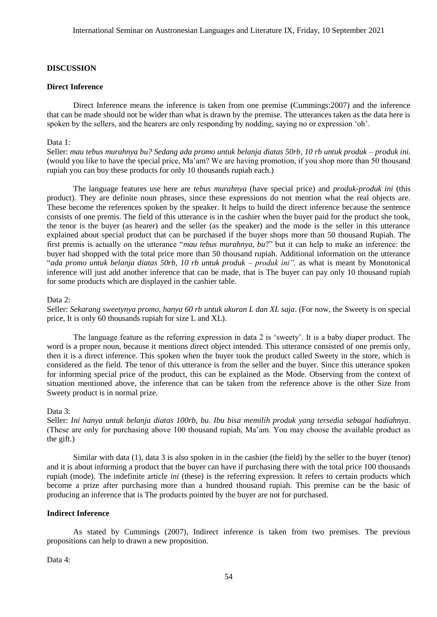#### **DISCUSSION**

### **Direct Inference**

Direct Inference means the inference is taken from one premise (Cummings:2007) and the inference that can be made should not be wider than what is drawn by the premise. The utterances taken as the data here is spoken by the sellers, and the hearers are only responding by nodding, saying no or expression 'oh'.

# Data 1:

Seller: *mau tebus murahnya bu? Sedang ada promo untuk belanja diatas 50rb, 10 rb untuk produk – produk ini.* (would you like to have the special price, Ma'am? We are having promotion, if you shop more than 50 thousand rupiah you can buy these products for only 10 thousands rupiah each.)

The language features use here are *tebus murahnya* (have special price) and *produk-produk ini* (this product). They are definite noun phrases, since these expressions do not mention what the real objects are. These become the references spoken by the speaker. It helps to build the direct inference because the sentence consists of one premis. The field of this utterance is in the cashier when the buyer paid for the product she took, the tenor is the buyer (as hearer) and the seller (as the speaker) and the mode is the seller in this utterance explained about special product that can be purchased if the buyer shops more than 50 thousand Rupiah. The first premis is actually on the utterance "*mau tebus murahnya, bu*?" but it can help to make an inference: the buyer had shopped with the total price more than 50 thousand rupiah. Additional information on the utterance "*ada promo untuk belanja diatas 50rb, 10 rb untuk produk – produk ini",* as what is meant by Monotonical inference will just add another inference that can be made, that is The buyer can pay only 10 thousand rupiah for some products which are displayed in the cashier table.

# Data 2:

Seller: *Sekarang sweetynya promo, hanya 60 rb untuk ukuran L dan XL saja*. (For now, the Sweety is on special price, It is only 60 thousands rupiah for size L and XL).

The language feature as the referring expression in data 2 is 'sweety'. It is a baby diaper product. The word is a proper noun, because it mentions direct object intended. This utterance consisted of one premis only, then it is a direct inference. This spoken when the buyer took the product called Sweety in the store, which is considered as the field. The tenor of this utterance is from the seller and the buyer. Since this utterance spoken for informing special price of the product, this can be explained as the Mode. Observing from the context of situation mentioned above, the inference that can be taken from the reference above is the other Size from Sweety product is in normal prize.

#### Data 3:

Seller: *Ini hanya untuk belanja diatas 100rb, bu. Ibu bisa memilih produk yang tersedia sebagai hadiahnya*. (These are only for purchasing above 100 thousand rupiah, Ma'am. You may choose the available product as the gift.)

Similar with data (1), data 3 is also spoken in in the cashier (the field) by the seller to the buyer (tenor) and it is about informing a product that the buyer can have if purchasing there with the total price 100 thousands rupiah (mode). The indefinite article *ini* (these) is the referring expression. It refers to certain products which become a prize after purchasing more than a hundred thousand rupiah. This premise can be the basic of producing an inference that is The products pointed by the buyer are not for purchased.

### **Indirect Inference**

As stated by Cummings (2007), Indirect inference is taken from two premises. The previous propositions can help to drawn a new proposition.

Data 4: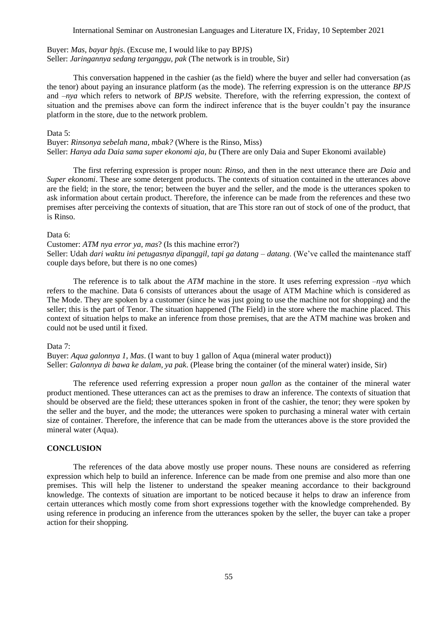Buyer: *Mas, bayar bpjs*. (Excuse me, I would like to pay BPJS) Seller: *Jaringannya sedang terganggu, pak* (The network is in trouble, Sir)

This conversation happened in the cashier (as the field) where the buyer and seller had conversation (as the tenor) about paying an insurance platform (as the mode). The referring expression is on the utterance *BPJS* and –*nya* which refers to network of *BPJS* website. Therefore, with the referring expression, the context of situation and the premises above can form the indirect inference that is the buyer couldn't pay the insurance platform in the store, due to the network problem.

Data 5:

Buyer: *Rinsonya sebelah mana, mbak?* (Where is the Rinso, Miss) Seller: *Hanya ada Daia sama super ekonomi aja, bu* (There are only Daia and Super Ekonomi available)

The first referring expression is proper noun: *Rinso*, and then in the next utterance there are *Daia* and *Super ekonomi*. These are some detergent products. The contexts of situation contained in the utterances above are the field; in the store, the tenor; between the buyer and the seller, and the mode is the utterances spoken to ask information about certain product. Therefore, the inference can be made from the references and these two premises after perceiving the contexts of situation, that are This store ran out of stock of one of the product, that is Rinso.

#### Data 6:

Customer: *ATM nya error ya, mas*? (Is this machine error?) Seller: Udah *dari waktu ini petugasnya dipanggil, tapi ga datang – datang*. (We've called the maintenance staff couple days before, but there is no one comes)

The reference is to talk about the *ATM* machine in the store. It uses referring expression *–nya* which refers to the machine. Data 6 consists of utterances about the usage of ATM Machine which is considered as The Mode. They are spoken by a customer (since he was just going to use the machine not for shopping) and the seller; this is the part of Tenor. The situation happened (The Field) in the store where the machine placed. This context of situation helps to make an inference from those premises, that are the ATM machine was broken and could not be used until it fixed.

#### Data 7:

Buyer: *Aqua galonnya 1, Mas*. (I want to buy 1 gallon of Aqua (mineral water product)) Seller: *Galonnya di bawa ke dalam, ya pak*. (Please bring the container (of the mineral water) inside, Sir)

The reference used referring expression a proper noun *gallon* as the container of the mineral water product mentioned. These utterances can act as the premises to draw an inference. The contexts of situation that should be observed are the field; these utterances spoken in front of the cashier, the tenor; they were spoken by the seller and the buyer, and the mode; the utterances were spoken to purchasing a mineral water with certain size of container. Therefore, the inference that can be made from the utterances above is the store provided the mineral water (Aqua).

#### **CONCLUSION**

The references of the data above mostly use proper nouns. These nouns are considered as referring expression which help to build an inference. Inference can be made from one premise and also more than one premises. This will help the listener to understand the speaker meaning accordance to their background knowledge. The contexts of situation are important to be noticed because it helps to draw an inference from certain utterances which mostly come from short expressions together with the knowledge comprehended. By using reference in producing an inference from the utterances spoken by the seller, the buyer can take a proper action for their shopping.